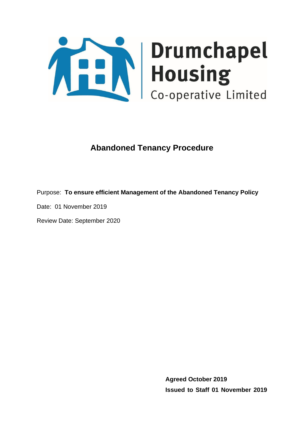

# **Abandoned Tenancy Procedure**

Purpose: **To ensure efficient Management of the Abandoned Tenancy Policy**

Date: 01 November 2019

Review Date: September 2020

**Agreed October 2019 Issued to Staff 01 November 2019**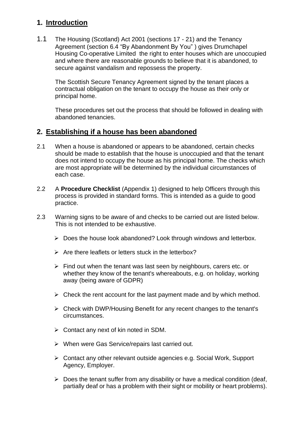# **1. Introduction**

1.1 The Housing (Scotland) Act 2001 (sections 17 - 21) and the Tenancy Agreement (section 6.4 "By Abandonment By You" ) gives Drumchapel Housing Co-operative Limited the right to enter houses which are unoccupied and where there are reasonable grounds to believe that it is abandoned, to secure against vandalism and repossess the property.

The Scottish Secure Tenancy Agreement signed by the tenant places a contractual obligation on the tenant to occupy the house as their only or principal home.

These procedures set out the process that should be followed in dealing with abandoned tenancies.

#### **2. Establishing if a house has been abandoned**

- 2.1 When a house is abandoned or appears to be abandoned, certain checks should be made to establish that the house is unoccupied and that the tenant does not intend to occupy the house as his principal home. The checks which are most appropriate will be determined by the individual circumstances of each case.
- 2.2 A **Procedure Checklist** (Appendix 1) designed to help Officers through this process is provided in standard forms. This is intended as a guide to good practice.
- 2.3 Warning signs to be aware of and checks to be carried out are listed below. This is not intended to be exhaustive.
	- ➢ Does the house look abandoned? Look through windows and letterbox.
	- $\triangleright$  Are there leaflets or letters stuck in the letterbox?
	- $\triangleright$  Find out when the tenant was last seen by neighbours, carers etc. or whether they know of the tenant's whereabouts, e.g. on holiday, working away (being aware of GDPR)
	- $\triangleright$  Check the rent account for the last payment made and by which method.
	- ➢ Check with DWP/Housing Benefit for any recent changes to the tenant's circumstances.
	- ➢ Contact any next of kin noted in SDM.
	- ➢ When were Gas Service/repairs last carried out.
	- ➢ Contact any other relevant outside agencies e.g. Social Work, Support Agency, Employer.
	- $\triangleright$  Does the tenant suffer from any disability or have a medical condition (deaf, partially deaf or has a problem with their sight or mobility or heart problems).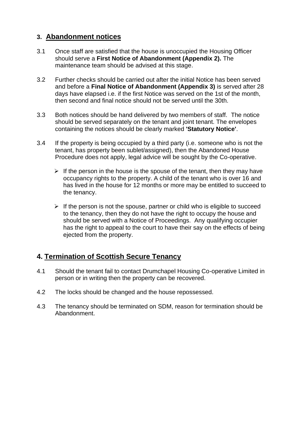# **3. Abandonment notices**

- 3.1 Once staff are satisfied that the house is unoccupied the Housing Officer should serve a **First Notice of Abandonment (Appendix 2).** The maintenance team should be advised at this stage.
- 3.2 Further checks should be carried out after the initial Notice has been served and before a **Final Notice of Abandonment (Appendix 3)** is served after 28 days have elapsed i.e. if the first Notice was served on the 1st of the month, then second and final notice should not be served until the 30th.
- 3.3 Both notices should be hand delivered by two members of staff. The notice should be served separately on the tenant and joint tenant. The envelopes containing the notices should be clearly marked **'Statutory Notice'**.
- 3.4 If the property is being occupied by a third party (i.e. someone who is not the tenant, has property been sublet/assigned), then the Abandoned House Procedure does not apply, legal advice will be sought by the Co-operative.
	- $\triangleright$  If the person in the house is the spouse of the tenant, then they may have occupancy rights to the property. A child of the tenant who is over 16 and has lived in the house for 12 months or more may be entitled to succeed to the tenancy.
	- $\triangleright$  If the person is not the spouse, partner or child who is eligible to succeed to the tenancy, then they do not have the right to occupy the house and should be served with a Notice of Proceedings. Any qualifying occupier has the right to appeal to the court to have their say on the effects of being ejected from the property.

# **4. Termination of Scottish Secure Tenancy**

- 4.1 Should the tenant fail to contact Drumchapel Housing Co-operative Limited in person or in writing then the property can be recovered.
- 4.2 The locks should be changed and the house repossessed.
- 4.3 The tenancy should be terminated on SDM, reason for termination should be Abandonment.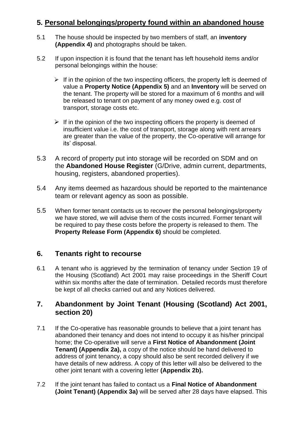# **5. Personal belongings/property found within an abandoned house**

- 5.1 The house should be inspected by two members of staff, an **inventory (Appendix 4)** and photographs should be taken.
- 5.2 If upon inspection it is found that the tenant has left household items and/or personal belongings within the house:
	- $\triangleright$  If in the opinion of the two inspecting officers, the property left is deemed of value a **Property Notice (Appendix 5)** and an **Inventory** will be served on the tenant. The property will be stored for a maximum of 6 months and will be released to tenant on payment of any money owed e.g. cost of transport, storage costs etc.
	- $\triangleright$  If in the opinion of the two inspecting officers the property is deemed of insufficient value i.e. the cost of transport, storage along with rent arrears are greater than the value of the property, the Co-operative will arrange for its' disposal.
- 5.3 A record of property put into storage will be recorded on SDM and on the **Abandoned House Register** (G/Drive, admin current, departments, housing, registers, abandoned properties).
- 5.4 Any items deemed as hazardous should be reported to the maintenance team or relevant agency as soon as possible.
- 5.5 When former tenant contacts us to recover the personal belongings/property we have stored, we will advise them of the costs incurred. Former tenant will be required to pay these costs before the property is released to them. The **Property Release Form (Appendix 6)** should be completed.

# **6. Tenants right to recourse**

6.1 A tenant who is aggrieved by the termination of tenancy under Section 19 of the Housing (Scotland) Act 2001 may raise proceedings in the Sheriff Court within six months after the date of termination. Detailed records must therefore be kept of all checks carried out and any Notices delivered.

#### **7. Abandonment by Joint Tenant (Housing (Scotland) Act 2001, section 20)**

- 7.1 If the Co-operative has reasonable grounds to believe that a joint tenant has abandoned their tenancy and does not intend to occupy it as his/her principal home; the Co-operative will serve a **First Notice of Abandonment (Joint Tenant) (Appendix 2a),** a copy of the notice should be hand delivered to address of joint tenancy, a copy should also be sent recorded delivery if we have details of new address. A copy of this letter will also be delivered to the other joint tenant with a covering letter **(Appendix 2b).**
- 7.2 If the joint tenant has failed to contact us a **Final Notice of Abandonment (Joint Tenant) (Appendix 3a)** will be served after 28 days have elapsed. This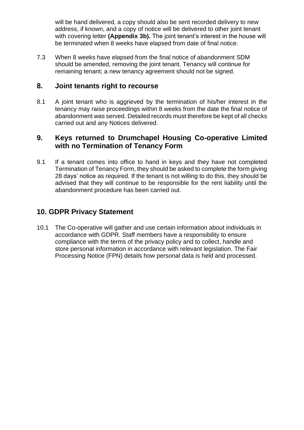will be hand delivered, a copy should also be sent recorded delivery to new address, if known, and a copy of notice will be delivered to other joint tenant with covering letter **(Appendix 3b).** The joint tenant's interest in the house will be terminated when 8 weeks have elapsed from date of final notice.

7.3 When 8 weeks have elapsed from the final notice of abandonment SDM should be amended, removing the joint tenant. Tenancy will continue for remaining tenant; a new tenancy agreement should not be signed.

#### **8. Joint tenants right to recourse**

8.1 A joint tenant who is aggrieved by the termination of his/her interest in the tenancy may raise proceedings within 8 weeks from the date the final notice of abandonment was served. Detailed records must therefore be kept of all checks carried out and any Notices delivered.

#### **9. Keys returned to Drumchapel Housing Co-operative Limited with no Termination of Tenancy Form**

9.1 If a tenant comes into office to hand in keys and they have not completed Termination of Tenancy Form, they should be asked to complete the form giving 28 days' notice as required. If the tenant is not willing to do this, they should be advised that they will continue to be responsible for the rent liability until the abandonment procedure has been carried out.

#### **10. GDPR Privacy Statement**

10.1 The Co-operative will gather and use certain information about individuals in accordance with GDPR. Staff members have a responsibility to ensure compliance with the terms of the privacy policy and to collect, handle and store personal information in accordance with relevant legislation. The Fair Processing Notice (FPN) details how personal data is held and processed.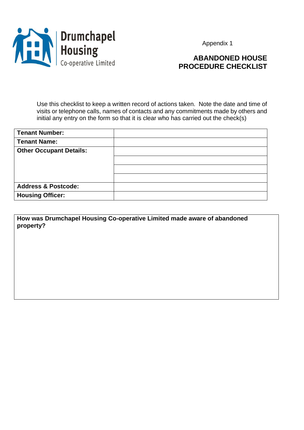

# **ABANDONED HOUSE PROCEDURE CHECKLIST**

Use this checklist to keep a written record of actions taken. Note the date and time of visits or telephone calls, names of contacts and any commitments made by others and initial any entry on the form so that it is clear who has carried out the check(s)

| <b>Tenant Number:</b>          |  |
|--------------------------------|--|
| <b>Tenant Name:</b>            |  |
| <b>Other Occupant Details:</b> |  |
|                                |  |
|                                |  |
|                                |  |
| <b>Address &amp; Postcode:</b> |  |
| <b>Housing Officer:</b>        |  |

**How was Drumchapel Housing Co-operative Limited made aware of abandoned property?**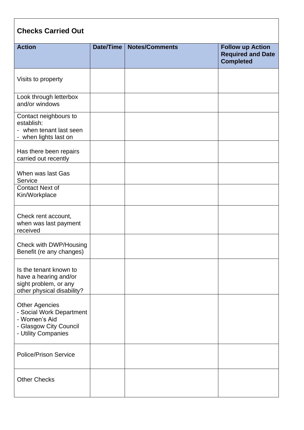| <b>Checks Carried Out</b>                                                                                           |           |                       |                                                                         |
|---------------------------------------------------------------------------------------------------------------------|-----------|-----------------------|-------------------------------------------------------------------------|
| <b>Action</b>                                                                                                       | Date/Time | <b>Notes/Comments</b> | <b>Follow up Action</b><br><b>Required and Date</b><br><b>Completed</b> |
| Visits to property                                                                                                  |           |                       |                                                                         |
| Look through letterbox<br>and/or windows                                                                            |           |                       |                                                                         |
| Contact neighbours to<br>establish:<br>- when tenant last seen<br>- when lights last on                             |           |                       |                                                                         |
| Has there been repairs<br>carried out recently                                                                      |           |                       |                                                                         |
| When was last Gas<br>Service                                                                                        |           |                       |                                                                         |
| <b>Contact Next of</b><br>Kin/Workplace                                                                             |           |                       |                                                                         |
| Check rent account,<br>when was last payment<br>received                                                            |           |                       |                                                                         |
| Check with DWP/Housing<br>Benefit (re any changes)                                                                  |           |                       |                                                                         |
| Is the tenant known to<br>have a hearing and/or<br>sight problem, or any<br>other physical disability?              |           |                       |                                                                         |
| <b>Other Agencies</b><br>- Social Work Department<br>- Women's Aid<br>- Glasgow City Council<br>- Utility Companies |           |                       |                                                                         |
| <b>Police/Prison Service</b>                                                                                        |           |                       |                                                                         |
| <b>Other Checks</b>                                                                                                 |           |                       |                                                                         |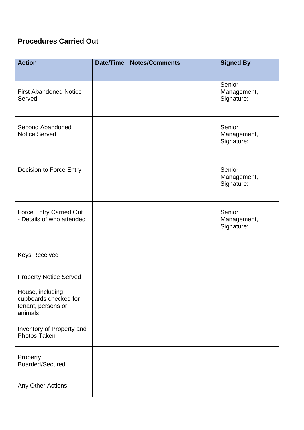# **Procedures Carried Out**

| <b>Action</b>                                                              | Date/Time | <b>Notes/Comments</b> | <b>Signed By</b>                    |
|----------------------------------------------------------------------------|-----------|-----------------------|-------------------------------------|
|                                                                            |           |                       |                                     |
| <b>First Abandoned Notice</b><br>Served                                    |           |                       | Senior<br>Management,<br>Signature: |
| Second Abandoned<br><b>Notice Served</b>                                   |           |                       | Senior<br>Management,<br>Signature: |
| Decision to Force Entry                                                    |           |                       | Senior<br>Management,<br>Signature: |
| <b>Force Entry Carried Out</b><br>- Details of who attended                |           |                       | Senior<br>Management,<br>Signature: |
| <b>Keys Received</b>                                                       |           |                       |                                     |
| <b>Property Notice Served</b>                                              |           |                       |                                     |
| House, including<br>cupboards checked for<br>tenant, persons or<br>animals |           |                       |                                     |
| Inventory of Property and<br>Photos Taken                                  |           |                       |                                     |
| Property<br>Boarded/Secured                                                |           |                       |                                     |
| Any Other Actions                                                          |           |                       |                                     |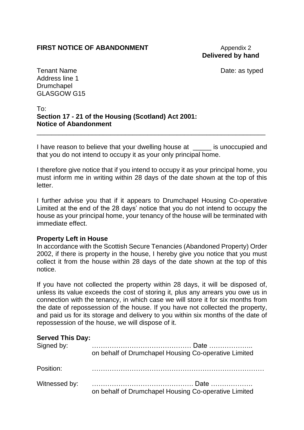### **FIRST NOTICE OF ABANDONMENT** Appendix 2

# **Delivered by hand**

Tenant Name **Date:** as typed

Address line 1 **Drumchapel** GLASGOW G15

#### To: **Section 17 - 21 of the Housing (Scotland) Act 2001: Notice of Abandonment**

I have reason to believe that your dwelling house at is unoccupied and that you do not intend to occupy it as your only principal home.

\_\_\_\_\_\_\_\_\_\_\_\_\_\_\_\_\_\_\_\_\_\_\_\_\_\_\_\_\_\_\_\_\_\_\_\_\_\_\_\_\_\_\_\_\_\_\_\_\_\_\_\_\_\_\_\_\_\_\_\_\_\_

I therefore give notice that if you intend to occupy it as your principal home, you must inform me in writing within 28 days of the date shown at the top of this letter.

I further advise you that if it appears to Drumchapel Housing Co-operative Limited at the end of the 28 days' notice that you do not intend to occupy the house as your principal home, your tenancy of the house will be terminated with immediate effect.

#### **Property Left in House**

In accordance with the Scottish Secure Tenancies (Abandoned Property) Order 2002, if there is property in the house, I hereby give you notice that you must collect it from the house within 28 days of the date shown at the top of this notice.

If you have not collected the property within 28 days, it will be disposed of, unless its value exceeds the cost of storing it, plus any arrears you owe us in connection with the tenancy, in which case we will store it for six months from the date of repossession of the house. If you have not collected the property, and paid us for its storage and delivery to you within six months of the date of repossession of the house, we will dispose of it.

| Signed by:    | on behalf of Drumchapel Housing Co-operative Limited |
|---------------|------------------------------------------------------|
| Position:     |                                                      |
| Witnessed by: | on behalf of Drumchapel Housing Co-operative Limited |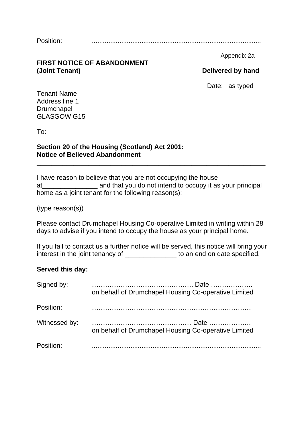Position: ............................................................................................

#### **FIRST NOTICE OF ABANDONMENT (Joint Tenant) Delivered by hand**

Appendix 2a

Date: as typed

Tenant Name Address line 1 Drumchapel GLASGOW G15

To:

#### **Section 20 of the Housing (Scotland) Act 2001: Notice of Believed Abandonment**

I have reason to believe that you are not occupying the house at\_\_\_\_\_\_\_\_\_\_\_\_\_\_\_ and that you do not intend to occupy it as your principal home as a joint tenant for the following reason(s):

\_\_\_\_\_\_\_\_\_\_\_\_\_\_\_\_\_\_\_\_\_\_\_\_\_\_\_\_\_\_\_\_\_\_\_\_\_\_\_\_\_\_\_\_\_\_\_\_\_\_\_\_\_\_\_\_\_\_\_\_\_\_

(type reason(s))

Please contact Drumchapel Housing Co-operative Limited in writing within 28 days to advise if you intend to occupy the house as your principal home.

If you fail to contact us a further notice will be served, this notice will bring your interest in the joint tenancy of **with the set of the set of the set of the set of the set of the set of the set of the set of the set of the set of the set of the set of the set of the set of the set of the set of the set** 

#### **Served this day:**

| on behalf of Drumchapel Housing Co-operative Limited |
|------------------------------------------------------|
|                                                      |
| on behalf of Drumchapel Housing Co-operative Limited |
|                                                      |
|                                                      |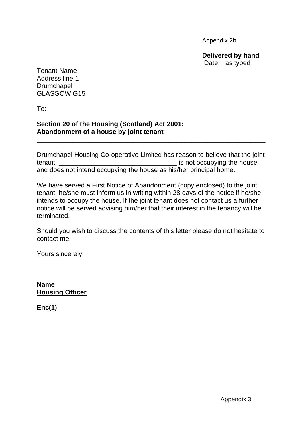Appendix 2b

**Delivered by hand** Date: as typed

Tenant Name Address line 1 **Drumchapel** GLASGOW G15

To:

#### **Section 20 of the Housing (Scotland) Act 2001: Abandonment of a house by joint tenant**

Drumchapel Housing Co-operative Limited has reason to believe that the joint tenant, **Example 2** is not occupying the house and does not intend occupying the house as his/her principal home.

\_\_\_\_\_\_\_\_\_\_\_\_\_\_\_\_\_\_\_\_\_\_\_\_\_\_\_\_\_\_\_\_\_\_\_\_\_\_\_\_\_\_\_\_\_\_\_\_\_\_\_\_\_\_\_\_\_\_\_\_\_\_

We have served a First Notice of Abandonment (copy enclosed) to the joint tenant, he/she must inform us in writing within 28 days of the notice if he/she intends to occupy the house. If the joint tenant does not contact us a further notice will be served advising him/her that their interest in the tenancy will be terminated.

Should you wish to discuss the contents of this letter please do not hesitate to contact me.

Yours sincerely

**Name Housing Officer**

**Enc(1)**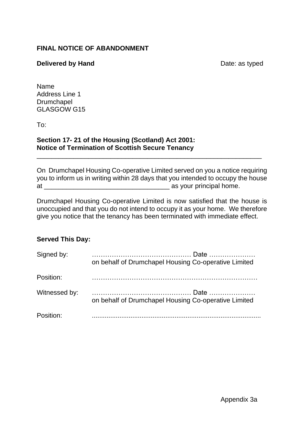#### **FINAL NOTICE OF ABANDONMENT**

#### **Delivered by Hand** Delivered by Hand

Name Address Line 1 Drumchapel GLASGOW G15

To:

#### **Section 17- 21 of the Housing (Scotland) Act 2001: Notice of Termination of Scottish Secure Tenancy**

On Drumchapel Housing Co-operative Limited served on you a notice requiring you to inform us in writing within 28 days that you intended to occupy the house at \_\_\_\_\_\_\_\_\_\_\_\_\_\_\_\_\_\_\_\_\_\_\_\_\_\_\_\_\_\_\_\_\_\_ as your principal home.

\_\_\_\_\_\_\_\_\_\_\_\_\_\_\_\_\_\_\_\_\_\_\_\_\_\_\_\_\_\_\_\_\_\_\_\_\_\_\_\_\_\_\_\_\_\_\_\_\_\_\_\_\_\_\_\_\_\_\_\_\_

Drumchapel Housing Co-operative Limited is now satisfied that the house is unoccupied and that you do not intend to occupy it as your home. We therefore give you notice that the tenancy has been terminated with immediate effect.

| Signed by:    | on behalf of Drumchapel Housing Co-operative Limited |
|---------------|------------------------------------------------------|
| Position:     |                                                      |
| Witnessed by: | on behalf of Drumchapel Housing Co-operative Limited |
| Position:     |                                                      |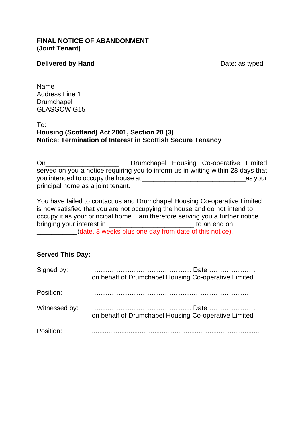#### **FINAL NOTICE OF ABANDONMENT (Joint Tenant)**

#### **Delivered by Hand** Delivered by Hand

Name Address Line 1 Drumchapel GLASGOW G15

#### To: **Housing (Scotland) Act 2001, Section 20 (3) Notice: Termination of Interest in Scottish Secure Tenancy**

On **On Drumchapel Housing Co-operative Limited** served on you a notice requiring you to inform us in writing within 28 days that you intended to occupy the house at  $\blacksquare$ principal home as a joint tenant.

\_\_\_\_\_\_\_\_\_\_\_\_\_\_\_\_\_\_\_\_\_\_\_\_\_\_\_\_\_\_\_\_\_\_\_\_\_\_\_\_\_\_\_\_\_\_\_\_\_\_\_\_\_\_\_\_\_\_\_\_\_\_

You have failed to contact us and Drumchapel Housing Co-operative Limited is now satisfied that you are not occupying the house and do not intend to occupy it as your principal home. I am therefore serving you a further notice bringing your interest in \_\_\_\_\_\_\_\_\_\_\_\_\_\_\_\_\_\_\_\_\_\_\_\_\_\_\_\_\_\_\_\_ to an end on \_\_\_\_\_\_\_\_\_\_\_(date, 8 weeks plus one day from date of this notice).

| Signed by:    |                                                      |  |  |
|---------------|------------------------------------------------------|--|--|
|               | on behalf of Drumchapel Housing Co-operative Limited |  |  |
| Position:     |                                                      |  |  |
| Witnessed by: | on behalf of Drumchapel Housing Co-operative Limited |  |  |
| Position:     |                                                      |  |  |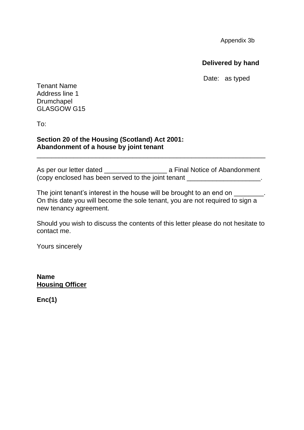Appendix 3b

**Delivered by hand**

Date: as typed

Tenant Name Address line 1 **Drumchapel** GLASGOW G15

To:

#### **Section 20 of the Housing (Scotland) Act 2001: Abandonment of a house by joint tenant**

As per our letter dated **Abandonment** a Final Notice of Abandonment (copy enclosed has been served to the joint tenant \_\_\_\_\_\_\_\_\_\_\_\_\_\_\_\_\_\_\_\_\_.

\_\_\_\_\_\_\_\_\_\_\_\_\_\_\_\_\_\_\_\_\_\_\_\_\_\_\_\_\_\_\_\_\_\_\_\_\_\_\_\_\_\_\_\_\_\_\_\_\_\_\_\_\_\_\_\_\_\_\_\_\_\_

The joint tenant's interest in the house will be brought to an end on \_\_\_\_\_. On this date you will become the sole tenant, you are not required to sign a new tenancy agreement.

Should you wish to discuss the contents of this letter please do not hesitate to contact me.

Yours sincerely

**Name Housing Officer**

**Enc(1)**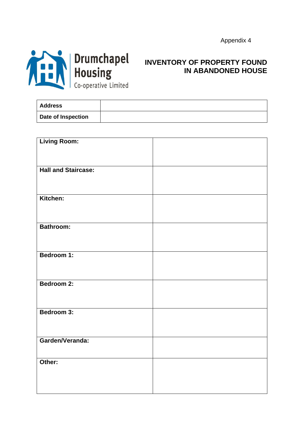

# **INVENTORY OF PROPERTY FOUND IN ABANDONED HOUSE**

| <b>Address</b>     |  |
|--------------------|--|
| Date of Inspection |  |

| <b>Living Room:</b>        |  |
|----------------------------|--|
|                            |  |
|                            |  |
| <b>Hall and Staircase:</b> |  |
|                            |  |
|                            |  |
|                            |  |
| Kitchen:                   |  |
|                            |  |
|                            |  |
|                            |  |
| <b>Bathroom:</b>           |  |
|                            |  |
|                            |  |
| Bedroom 1:                 |  |
|                            |  |
|                            |  |
|                            |  |
| Bedroom 2:                 |  |
|                            |  |
|                            |  |
| Bedroom 3:                 |  |
|                            |  |
|                            |  |
|                            |  |
| Garden/Veranda:            |  |
|                            |  |
|                            |  |
| Other:                     |  |
|                            |  |
|                            |  |
|                            |  |
|                            |  |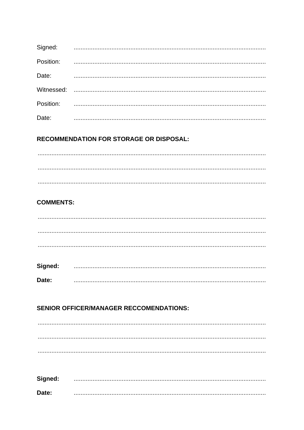| Signed:   |  |
|-----------|--|
| Position: |  |
| Date:     |  |
|           |  |
| Position: |  |
| Date:     |  |

#### **RECOMMENDATION FOR STORAGE OR DISPOSAL:**

#### **COMMENTS:**

| Signed: |  |  |
|---------|--|--|
|         |  |  |
| Date:   |  |  |

#### **SENIOR OFFICER/MANAGER RECCOMENDATIONS:**

| Signed: |  |
|---------|--|
| Date:   |  |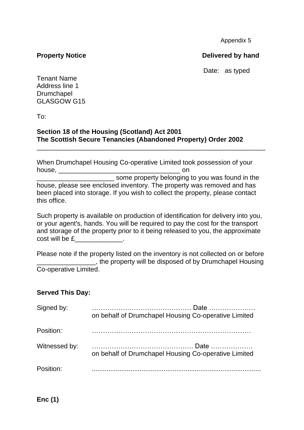#### **Property Notice Delivered by hand**

Date: as typed

Tenant Name Address line 1 **Drumchapel** GLASGOW G15

To:

#### **Section 18 of the Housing (Scotland) Act 2001 The Scottish Secure Tenancies (Abandoned Property) Order 2002**

When Drumchapel Housing Co-operative Limited took possession of your house, \_\_\_\_\_\_\_\_\_\_\_\_\_\_\_\_\_\_\_\_\_\_\_\_\_\_\_\_\_\_\_\_\_ on

\_\_\_\_\_\_\_\_\_\_\_\_\_\_\_\_\_\_\_\_\_\_\_\_\_\_\_\_\_\_\_\_\_\_\_\_\_\_\_\_\_\_\_\_\_\_\_\_\_\_\_\_\_\_\_\_\_\_\_\_\_\_

some property belonging to you was found in the house, please see enclosed inventory. The property was removed and has been placed into storage. If you wish to collect the property, please contact this office.

Such property is available on production of identification for delivery into you, or your agent's, hands. You will be required to pay the cost for the transport and storage of the property prior to it being released to you, the approximate cost will be £

Please note if the property listed on the inventory is not collected on or before \_\_\_\_\_\_\_\_\_\_\_\_\_\_\_\_, the property will be disposed of by Drumchapel Housing Co-operative Limited.

| Signed by:    | on behalf of Drumchapel Housing Co-operative Limited |
|---------------|------------------------------------------------------|
| Position:     |                                                      |
| Witnessed by: | on behalf of Drumchapel Housing Co-operative Limited |
| Position:     |                                                      |